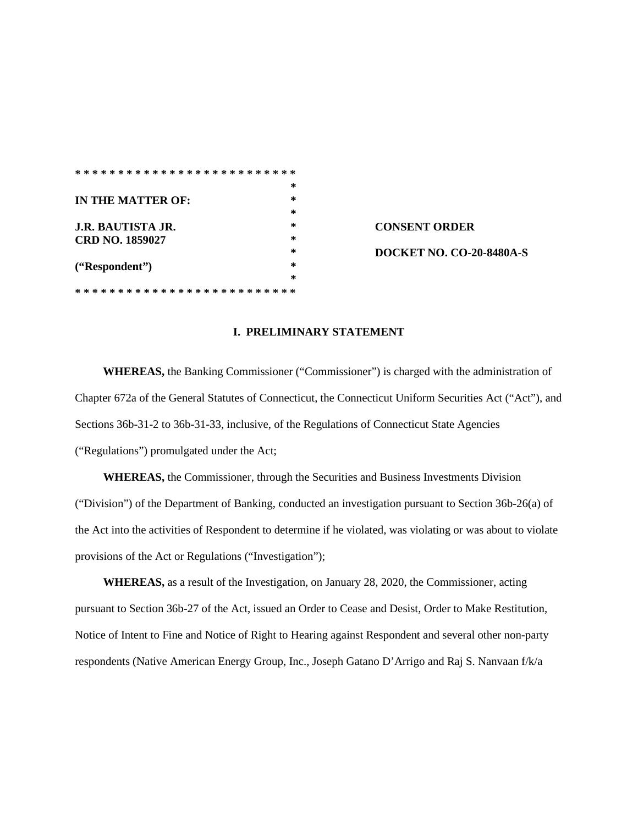|                          | $\ast$ |                                 |
|--------------------------|--------|---------------------------------|
| IN THE MATTER OF:        | $\ast$ |                                 |
|                          | $\ast$ |                                 |
| <b>J.R. BAUTISTA JR.</b> | *      | <b>CONSENT ORDER</b>            |
| <b>CRD NO. 1859027</b>   | *      |                                 |
|                          | *      | <b>DOCKET NO. CO-20-8480A-S</b> |
| ("Respondent")           | *      |                                 |
|                          | *      |                                 |
|                          |        |                                 |

#### **I. PRELIMINARY STATEMENT**

**WHEREAS,** the Banking Commissioner ("Commissioner") is charged with the administration of Chapter 672a of the General Statutes of Connecticut, the Connecticut Uniform Securities Act ("Act"), and Sections 36b-31-2 to 36b-31-33, inclusive, of the Regulations of Connecticut State Agencies ("Regulations") promulgated under the Act;

**WHEREAS,** the Commissioner, through the Securities and Business Investments Division ("Division") of the Department of Banking, conducted an investigation pursuant to Section 36b-26(a) of the Act into the activities of Respondent to determine if he violated, was violating or was about to violate provisions of the Act or Regulations ("Investigation");

**WHEREAS,** as a result of the Investigation, on January 28, 2020, the Commissioner, acting pursuant to Section 36b-27 of the Act, issued an Order to Cease and Desist, Order to Make Restitution, Notice of Intent to Fine and Notice of Right to Hearing against Respondent and several other non-party respondents (Native American Energy Group, Inc., Joseph Gatano D'Arrigo and Raj S. Nanvaan f/k/a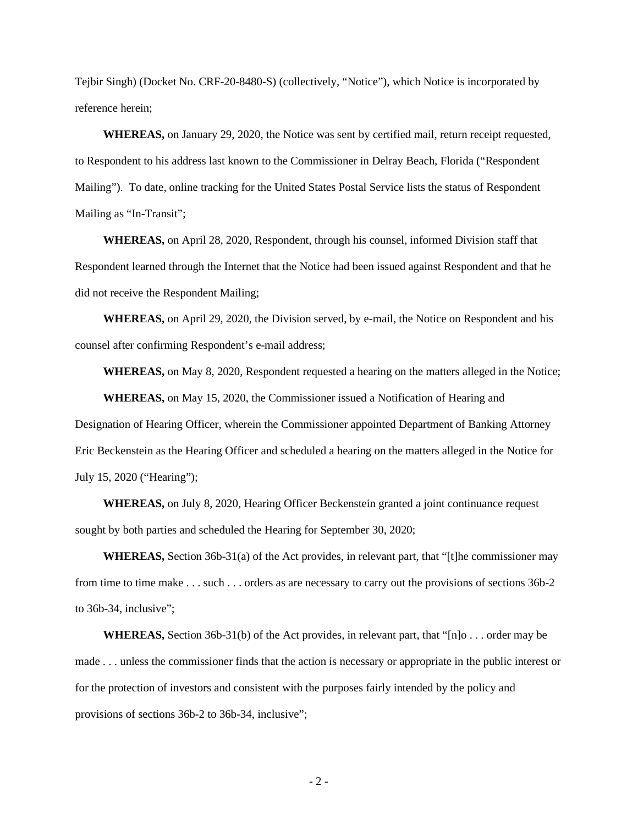Tejbir Singh) (Docket No. CRF-20-8480-S) (collectively, "Notice"), which Notice is incorporated by reference herein;

**WHEREAS,** on January 29, 2020, the Notice was sent by certified mail, return receipt requested, to Respondent to his address last known to the Commissioner in Delray Beach, Florida ("Respondent Mailing"). To date, online tracking for the United States Postal Service lists the status of Respondent Mailing as "In-Transit";

**WHEREAS,** on April 28, 2020, Respondent, through his counsel, informed Division staff that Respondent learned through the Internet that the Notice had been issued against Respondent and that he did not receive the Respondent Mailing;

**WHEREAS,** on April 29, 2020, the Division served, by e-mail, the Notice on Respondent and his counsel after confirming Respondent's e-mail address;

**WHEREAS,** on May 8, 2020, Respondent requested a hearing on the matters alleged in the Notice;

**WHEREAS,** on May 15, 2020, the Commissioner issued a Notification of Hearing and Designation of Hearing Officer, wherein the Commissioner appointed Department of Banking Attorney Eric Beckenstein as the Hearing Officer and scheduled a hearing on the matters alleged in the Notice for July 15, 2020 ("Hearing");

**WHEREAS,** on July 8, 2020, Hearing Officer Beckenstein granted a joint continuance request sought by both parties and scheduled the Hearing for September 30, 2020;

**WHEREAS,** Section 36b-31(a) of the Act provides, in relevant part, that "[t]he commissioner may from time to time make . . . such . . . orders as are necessary to carry out the provisions of sections 36b-2 to 36b-34, inclusive";

**WHEREAS,** Section 36b-31(b) of the Act provides, in relevant part, that "[n]o . . . order may be made . . . unless the commissioner finds that the action is necessary or appropriate in the public interest or for the protection of investors and consistent with the purposes fairly intended by the policy and provisions of sections 36b-2 to 36b-34, inclusive";

 $-2-$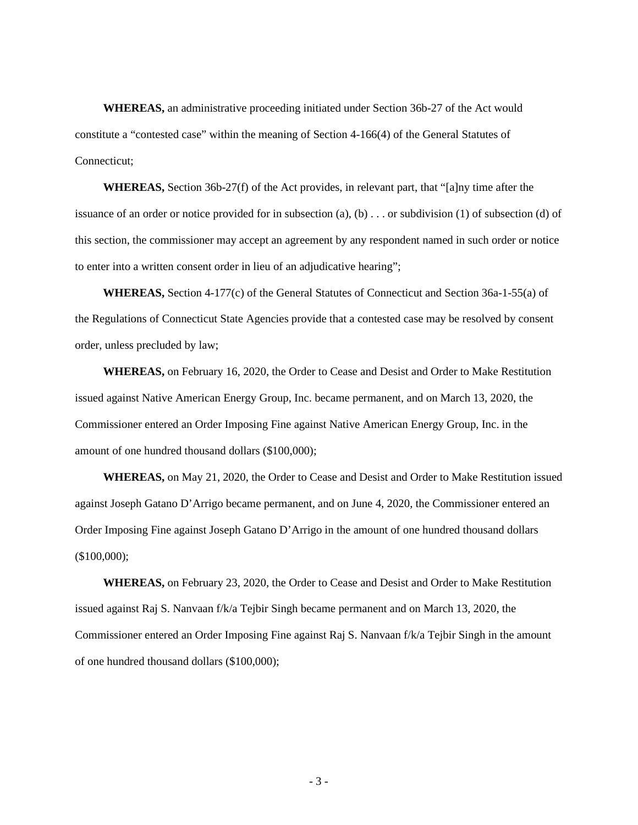**WHEREAS,** an administrative proceeding initiated under Section 36b-27 of the Act would constitute a "contested case" within the meaning of Section 4-166(4) of the General Statutes of Connecticut;

**WHEREAS,** Section 36b-27(f) of the Act provides, in relevant part, that "[a]ny time after the issuance of an order or notice provided for in subsection  $(a)$ ,  $(b)$ ... or subdivision  $(1)$  of subsection  $(d)$  of this section, the commissioner may accept an agreement by any respondent named in such order or notice to enter into a written consent order in lieu of an adjudicative hearing";

**WHEREAS,** Section 4-177(c) of the General Statutes of Connecticut and Section 36a-1-55(a) of the Regulations of Connecticut State Agencies provide that a contested case may be resolved by consent order, unless precluded by law;

**WHEREAS,** on February 16, 2020, the Order to Cease and Desist and Order to Make Restitution issued against Native American Energy Group, Inc. became permanent, and on March 13, 2020, the Commissioner entered an Order Imposing Fine against Native American Energy Group, Inc. in the amount of one hundred thousand dollars (\$100,000);

**WHEREAS,** on May 21, 2020, the Order to Cease and Desist and Order to Make Restitution issued against Joseph Gatano D'Arrigo became permanent, and on June 4, 2020, the Commissioner entered an Order Imposing Fine against Joseph Gatano D'Arrigo in the amount of one hundred thousand dollars (\$100,000);

**WHEREAS,** on February 23, 2020, the Order to Cease and Desist and Order to Make Restitution issued against Raj S. Nanvaan f/k/a Tejbir Singh became permanent and on March 13, 2020, the Commissioner entered an Order Imposing Fine against Raj S. Nanvaan f/k/a Tejbir Singh in the amount of one hundred thousand dollars (\$100,000);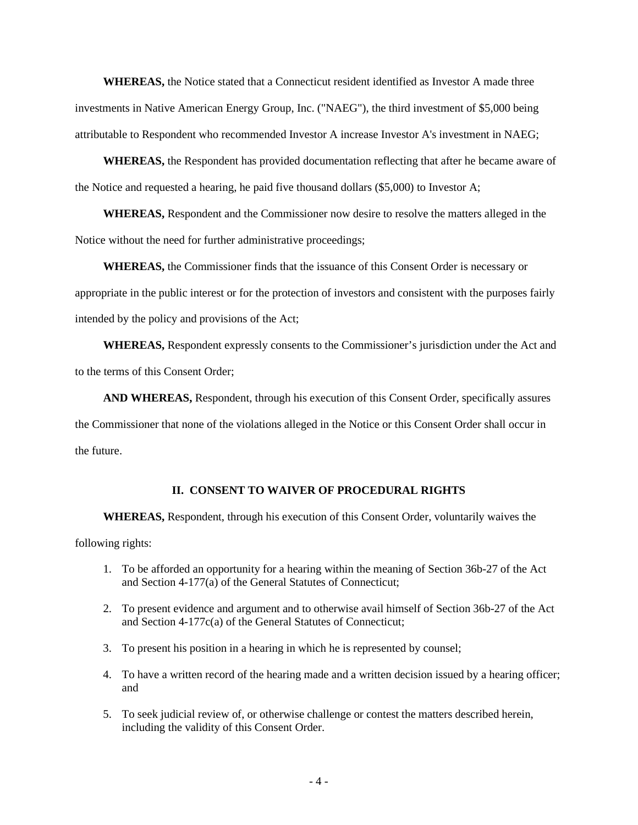**WHEREAS,** the Notice stated that a Connecticut resident identified as Investor A made three investments in Native American Energy Group, Inc. ("NAEG"), the third investment of \$5,000 being attributable to Respondent who recommended Investor A increase Investor A's investment in NAEG;

**WHEREAS,** the Respondent has provided documentation reflecting that after he became aware of the Notice and requested a hearing, he paid five thousand dollars (\$5,000) to Investor A;

**WHEREAS,** Respondent and the Commissioner now desire to resolve the matters alleged in the Notice without the need for further administrative proceedings;

**WHEREAS,** the Commissioner finds that the issuance of this Consent Order is necessary or appropriate in the public interest or for the protection of investors and consistent with the purposes fairly intended by the policy and provisions of the Act;

**WHEREAS,** Respondent expressly consents to the Commissioner's jurisdiction under the Act and to the terms of this Consent Order;

**AND WHEREAS,** Respondent, through his execution of this Consent Order, specifically assures

the Commissioner that none of the violations alleged in the Notice or this Consent Order shall occur in the future.

#### **II. CONSENT TO WAIVER OF PROCEDURAL RIGHTS**

**WHEREAS,** Respondent, through his execution of this Consent Order, voluntarily waives the

following rights:

- 1. To be afforded an opportunity for a hearing within the meaning of Section 36b-27 of the Act and Section 4-177(a) of the General Statutes of Connecticut;
- 2. To present evidence and argument and to otherwise avail himself of Section 36b-27 of the Act and Section 4-177c(a) of the General Statutes of Connecticut;
- 3. To present his position in a hearing in which he is represented by counsel;
- 4. To have a written record of the hearing made and a written decision issued by a hearing officer; and
- 5. To seek judicial review of, or otherwise challenge or contest the matters described herein, including the validity of this Consent Order.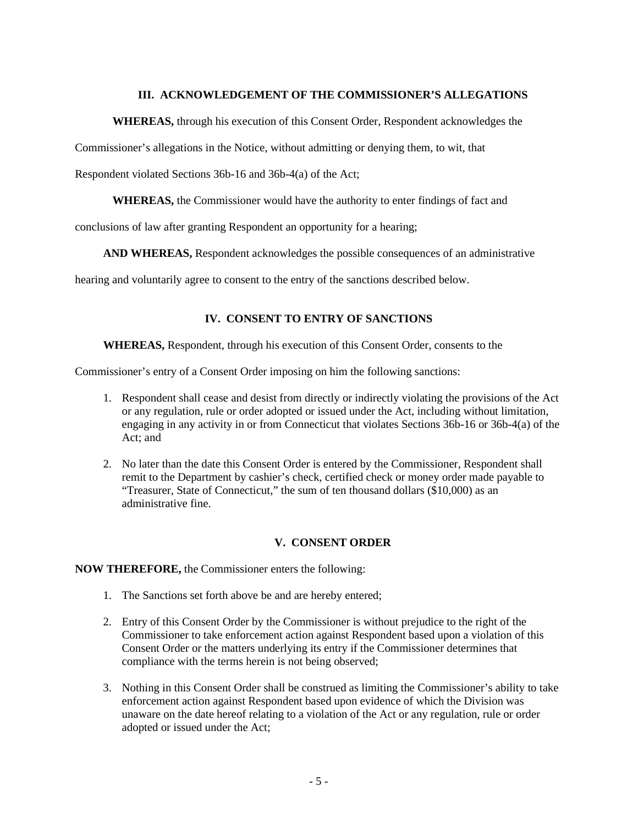## **III. ACKNOWLEDGEMENT OF THE COMMISSIONER'S ALLEGATIONS**

#### **WHEREAS,** through his execution of this Consent Order, Respondent acknowledges the

Commissioner's allegations in the Notice, without admitting or denying them, to wit, that

Respondent violated Sections 36b-16 and 36b-4(a) of the Act;

**WHEREAS,** the Commissioner would have the authority to enter findings of fact and

conclusions of law after granting Respondent an opportunity for a hearing;

**AND WHEREAS,** Respondent acknowledges the possible consequences of an administrative

hearing and voluntarily agree to consent to the entry of the sanctions described below.

## **IV. CONSENT TO ENTRY OF SANCTIONS**

**WHEREAS,** Respondent, through his execution of this Consent Order, consents to the

Commissioner's entry of a Consent Order imposing on him the following sanctions:

- 1. Respondent shall cease and desist from directly or indirectly violating the provisions of the Act or any regulation, rule or order adopted or issued under the Act, including without limitation, engaging in any activity in or from Connecticut that violates Sections 36b-16 or 36b-4(a) of the Act; and
- 2. No later than the date this Consent Order is entered by the Commissioner, Respondent shall remit to the Department by cashier's check, certified check or money order made payable to "Treasurer, State of Connecticut," the sum of ten thousand dollars (\$10,000) as an administrative fine.

#### **V. CONSENT ORDER**

**NOW THEREFORE,** the Commissioner enters the following:

- 1. The Sanctions set forth above be and are hereby entered;
- 2. Entry of this Consent Order by the Commissioner is without prejudice to the right of the Commissioner to take enforcement action against Respondent based upon a violation of this Consent Order or the matters underlying its entry if the Commissioner determines that compliance with the terms herein is not being observed;
- 3. Nothing in this Consent Order shall be construed as limiting the Commissioner's ability to take enforcement action against Respondent based upon evidence of which the Division was unaware on the date hereof relating to a violation of the Act or any regulation, rule or order adopted or issued under the Act;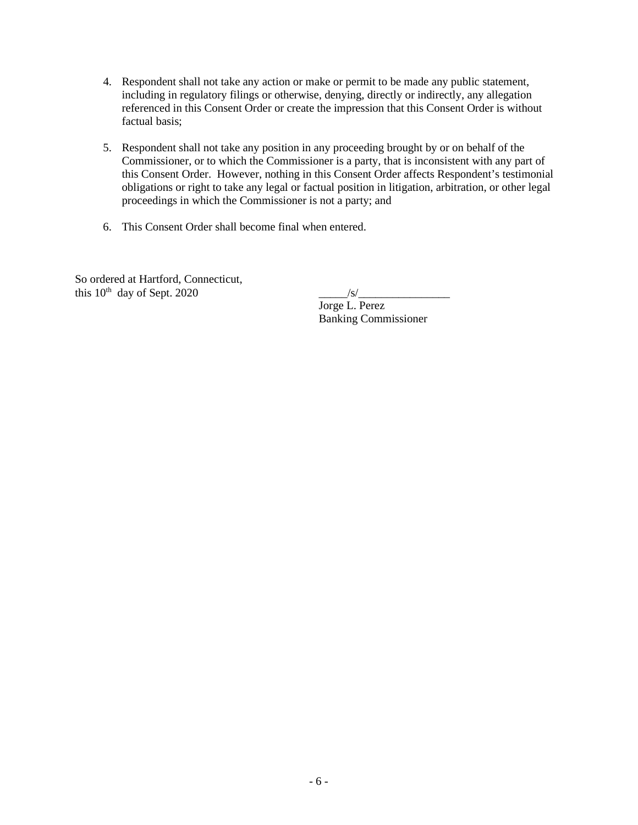- 4. Respondent shall not take any action or make or permit to be made any public statement, including in regulatory filings or otherwise, denying, directly or indirectly, any allegation referenced in this Consent Order or create the impression that this Consent Order is without factual basis;
- 5. Respondent shall not take any position in any proceeding brought by or on behalf of the Commissioner, or to which the Commissioner is a party, that is inconsistent with any part of this Consent Order. However, nothing in this Consent Order affects Respondent's testimonial obligations or right to take any legal or factual position in litigation, arbitration, or other legal proceedings in which the Commissioner is not a party; and
- 6. This Consent Order shall become final when entered.

So ordered at Hartford, Connecticut, this  $10^{th}$  day of Sept. 2020  $\frac{|s|}{\sqrt{|s|}}$ 

Jorge L. Perez Banking Commissioner